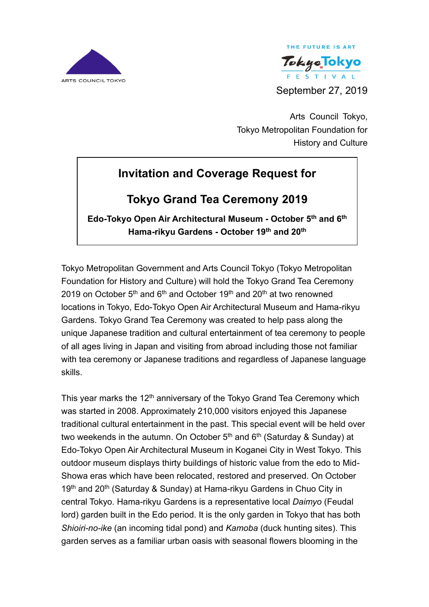



Arts Council Tokyo, Tokyo Metropolitan Foundation for History and Culture

# **Invitation and Coverage Request for**

## **Tokyo Grand Tea Ceremony 2019**

**Edo-Tokyo Open Air Architectural Museum - October 5th and 6 th Hama-rikyu Gardens - October 19 th and 20th**

Tokyo Metropolitan Government and Arts Council Tokyo (Tokyo Metropolitan Foundation for History and Culture) will hold the Tokyo Grand Tea Ceremony 2019 on October  $5<sup>th</sup>$  and  $6<sup>th</sup>$  and October 19<sup>th</sup> and 20<sup>th</sup> at two renowned locations in Tokyo, Edo-Tokyo Open Air Architectural Museum and Hama-rikyu Gardens. Tokyo Grand Tea Ceremony was created to help pass along the unique Japanese tradition and cultural entertainment of tea ceremony to people of all ages living in Japan and visiting from abroad including those not familiar with tea ceremony or Japanese traditions and regardless of Japanese language skills.

This year marks the 12<sup>th</sup> anniversary of the Tokyo Grand Tea Ceremony which was started in 2008. Approximately 210,000 visitors enjoyed this Japanese traditional cultural entertainment in the past. This special event will be held over two weekends in the autumn. On October  $5<sup>th</sup>$  and  $6<sup>th</sup>$  (Saturday & Sunday) at Edo-Tokyo Open Air Architectural Museum in Koganei City in West Tokyo. This outdoor museum displays thirty buildings of historic value from the edo to Mid-Showa eras which have been relocated, restored and preserved. On October 19<sup>th</sup> and 20<sup>th</sup> (Saturday & Sunday) at Hama-rikyu Gardens in Chuo City in central Tokyo. Hama-rikyu Gardens is a representative local *Daimyo* (Feudal lord) garden built in the Edo period. It is the only garden in Tokyo that has both *Shioiri-no-ike* (an incoming tidal pond) and *Kamoba* (duck hunting sites). This garden serves as a familiar urban oasis with seasonal flowers blooming in the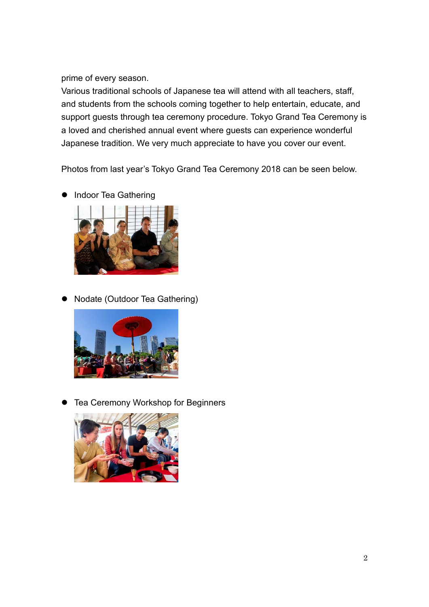prime of every season.

Various traditional schools of Japanese tea will attend with all teachers, staff, and students from the schools coming together to help entertain, educate, and support guests through tea ceremony procedure. Tokyo Grand Tea Ceremony is a loved and cherished annual event where guests can experience wonderful Japanese tradition. We very much appreciate to have you cover our event.

Photos from last year's Tokyo Grand Tea Ceremony 2018 can be seen below.

- Indoor Tea Gathering
- Nodate (Outdoor Tea Gathering)



⚫ Tea Ceremony Workshop for Beginners

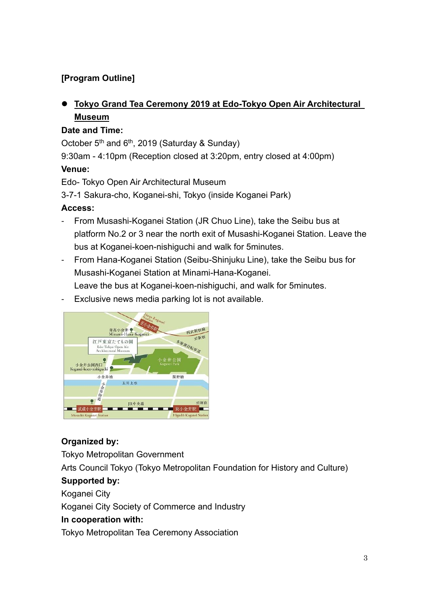## **[Program Outline]**

## ⚫ **Tokyo Grand Tea Ceremony 2019 at Edo-Tokyo Open Air Architectural Museum**

#### **Date and Time:**

October  $5<sup>th</sup>$  and  $6<sup>th</sup>$ , 2019 (Saturday & Sunday)

9:30am - 4:10pm (Reception closed at 3:20pm, entry closed at 4:00pm)

#### **Venue:**

Edo- Tokyo Open Air Architectural Museum

3-7-1 Sakura-cho, Koganei-shi, Tokyo (inside Koganei Park)

#### **Access:**

- From Musashi-Koganei Station (JR Chuo Line), take the Seibu bus at platform No.2 or 3 near the north exit of Musashi-Koganei Station. Leave the bus at Koganei-koen-nishiguchi and walk for 5minutes.
- From Hana-Koganei Station (Seibu-Shinjuku Line), take the Seibu bus for Musashi-Koganei Station at Minami-Hana-Koganei. Leave the bus at Koganei-koen-nishiguchi, and walk for 5minutes.
- Exclusive news media parking lot is not available.



## **Organized by:**

Tokyo Metropolitan Government Arts Council Tokyo (Tokyo Metropolitan Foundation for History and Culture) **Supported by:** Koganei City Koganei City Society of Commerce and Industry **In cooperation with:**

Tokyo Metropolitan Tea Ceremony Association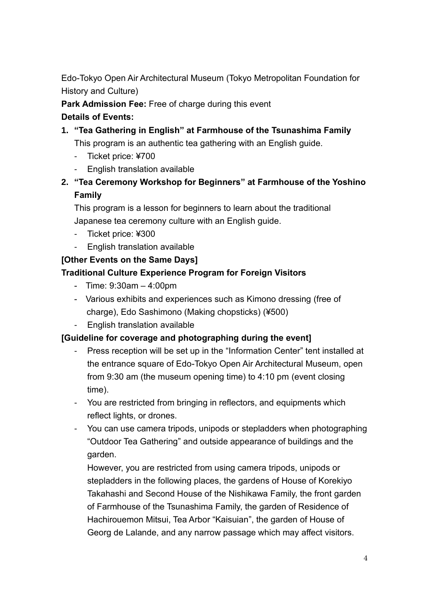Edo-Tokyo Open Air Architectural Museum (Tokyo Metropolitan Foundation for History and Culture)

**Park Admission Fee:** Free of charge during this event

## **Details of Events:**

# **1. "Tea Gathering in English" at Farmhouse of the Tsunashima Family**

This program is an authentic tea gathering with an English guide.

- Ticket price: ¥700
- English translation available
- **2. "Tea Ceremony Workshop for Beginners" at Farmhouse of the Yoshino Family**

This program is a lesson for beginners to learn about the traditional Japanese tea ceremony culture with an English guide.

- Ticket price: ¥300
- English translation available

## **[Other Events on the Same Days]**

## **Traditional Culture Experience Program for Foreign Visitors**

- Time: 9:30am 4:00pm
- Various exhibits and experiences such as Kimono dressing (free of charge), Edo Sashimono (Making chopsticks) (¥500)
- English translation available

## **[Guideline for coverage and photographing during the event]**

- Press reception will be set up in the "Information Center" tent installed at the entrance square of Edo-Tokyo Open Air Architectural Museum, open from 9:30 am (the museum opening time) to 4:10 pm (event closing time).
- You are restricted from bringing in reflectors, and equipments which reflect lights, or drones.
- You can use camera tripods, unipods or stepladders when photographing "Outdoor Tea Gathering" and outside appearance of buildings and the garden.

However, you are restricted from using camera tripods, unipods or stepladders in the following places, the gardens of House of Korekiyo Takahashi and Second House of the Nishikawa Family, the front garden of Farmhouse of the Tsunashima Family, the garden of Residence of Hachirouemon Mitsui, Tea Arbor "Kaisuian", the garden of House of Georg de Lalande, and any narrow passage which may affect visitors.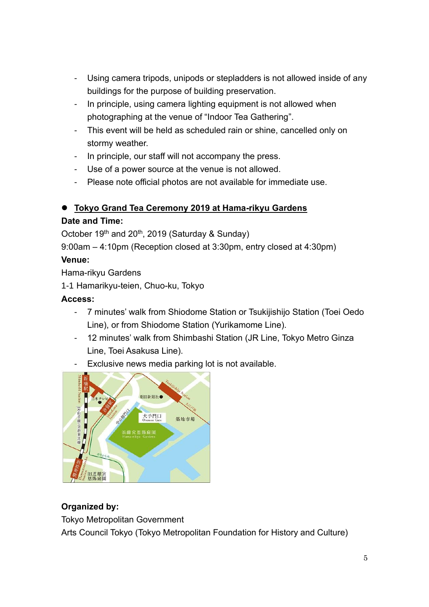- Using camera tripods, unipods or stepladders is not allowed inside of any buildings for the purpose of building preservation.
- In principle, using camera lighting equipment is not allowed when photographing at the venue of "Indoor Tea Gathering".
- This event will be held as scheduled rain or shine, cancelled only on stormy weather.
- In principle, our staff will not accompany the press.
- Use of a power source at the venue is not allowed.
- Please note official photos are not available for immediate use.

#### ⚫ **Tokyo Grand Tea Ceremony 2019 at Hama-rikyu Gardens**

#### **Date and Time:**

October 19<sup>th</sup> and 20<sup>th</sup>, 2019 (Saturday & Sunday)

9:00am – 4:10pm (Reception closed at 3:30pm, entry closed at 4:30pm)

#### **Venue:**

Hama-rikyu Gardens

1-1 Hamarikyu-teien, Chuo-ku, Tokyo

#### **Access:**

- 7 minutes' walk from Shiodome Station or Tsukijishijo Station (Toei Oedo Line), or from Shiodome Station (Yurikamome Line).
- 12 minutes' walk from Shimbashi Station (JR Line, Tokyo Metro Ginza Line, Toei Asakusa Line).
- Exclusive news media parking lot is not available.



#### **Organized by:**

Tokyo Metropolitan Government

Arts Council Tokyo (Tokyo Metropolitan Foundation for History and Culture)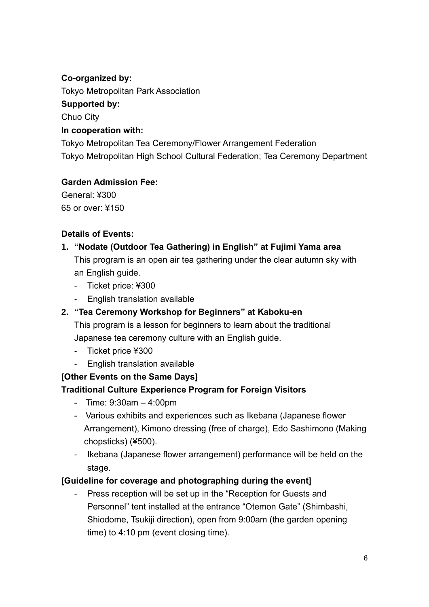#### **Co-organized by:**

Tokyo Metropolitan Park Association

#### **Supported by:**

Chuo City

#### **In cooperation with:**

Tokyo Metropolitan Tea Ceremony/Flower Arrangement Federation Tokyo Metropolitan High School Cultural Federation; Tea Ceremony Department

## **Garden Admission Fee:**

General: ¥300 65 or over: ¥150

## **Details of Events:**

#### **1. "Nodate (Outdoor Tea Gathering) in English" at Fujimi Yama area**

This program is an open air tea gathering under the clear autumn sky with an English guide.

- Ticket price: ¥300
- English translation available

## **2. "Tea Ceremony Workshop for Beginners" at Kaboku-en**

This program is a lesson for beginners to learn about the traditional Japanese tea ceremony culture with an English guide.

- Ticket price ¥300
- English translation available

## **[Other Events on the Same Days]**

## **Traditional Culture Experience Program for Foreign Visitors**

- Time: 9:30am 4:00pm
- Various exhibits and experiences such as Ikebana (Japanese flower Arrangement), Kimono dressing (free of charge), Edo Sashimono (Making chopsticks) (¥500).
- Ikebana (Japanese flower arrangement) performance will be held on the stage.

## **[Guideline for coverage and photographing during the event]**

Press reception will be set up in the "Reception for Guests and Personnel" tent installed at the entrance "Otemon Gate" (Shimbashi, Shiodome, Tsukiji direction), open from 9:00am (the garden opening time) to 4:10 pm (event closing time).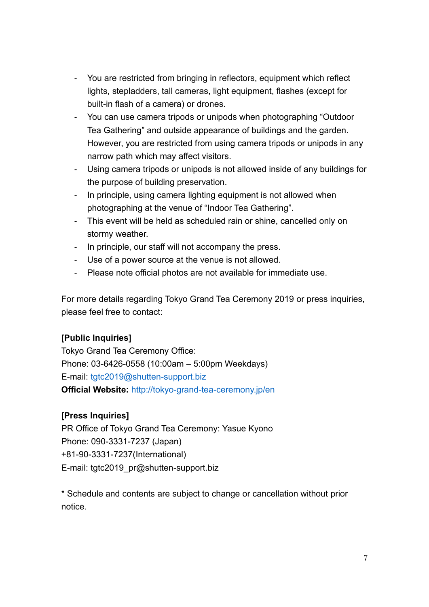- You are restricted from bringing in reflectors, equipment which reflect lights, stepladders, tall cameras, light equipment, flashes (except for built-in flash of a camera) or drones.
- You can use camera tripods or unipods when photographing "Outdoor Tea Gathering" and outside appearance of buildings and the garden. However, you are restricted from using camera tripods or unipods in any narrow path which may affect visitors.
- Using camera tripods or unipods is not allowed inside of any buildings for the purpose of building preservation.
- In principle, using camera lighting equipment is not allowed when photographing at the venue of "Indoor Tea Gathering".
- This event will be held as scheduled rain or shine, cancelled only on stormy weather.
- In principle, our staff will not accompany the press.
- Use of a power source at the venue is not allowed.
- Please note official photos are not available for immediate use.

For more details regarding Tokyo Grand Tea Ceremony 2019 or press inquiries, please feel free to contact:

#### **[Public Inquiries]**

Tokyo Grand Tea Ceremony Office: Phone: 03-6426-0558 (10:00am – 5:00pm Weekdays) E-mail: [tgtc2019@shutten-support.biz](mailto:tgtc2019@shutten-support.biz) **Official Website:** <http://tokyo-grand-tea-ceremony.jp/en>

#### **[Press Inquiries]**

PR Office of Tokyo Grand Tea Ceremony: Yasue Kyono Phone: 090-3331-7237 (Japan) +81-90-3331-7237(International) E-mail: tgtc2019\_pr@shutten-support.biz

\* Schedule and contents are subject to change or cancellation without prior notice.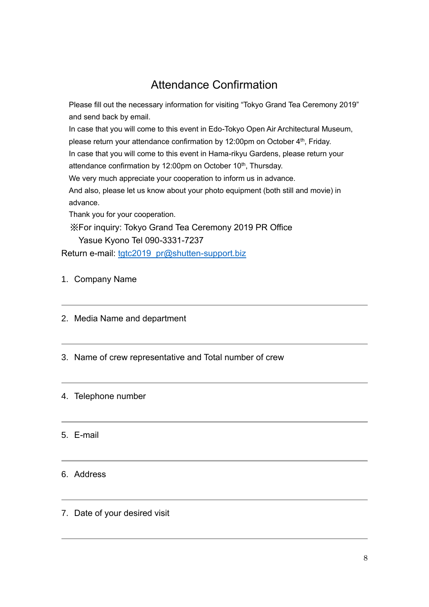## Attendance Confirmation

Please fill out the necessary information for visiting "Tokyo Grand Tea Ceremony 2019" and send back by email. In case that you will come to this event in Edo-Tokyo Open Air Architectural Museum, please return your attendance confirmation by 12:00pm on October 4<sup>th</sup>, Friday. In case that you will come to this event in Hama-rikyu Gardens, please return your attendance confirmation by 12:00pm on October 10<sup>th</sup>, Thursday. We very much appreciate your cooperation to inform us in advance. And also, please let us know about your photo equipment (both still and movie) in advance. Thank you for your cooperation. ※For inquiry: Tokyo Grand Tea Ceremony 2019 PR Office Yasue Kyono Tel 090-3331-7237

Return e-mail: [tgtc2019\\_pr@shutten-support.biz](mailto:tgtc2019_pr@shutten-support.biz)

- 1. Company Name
- 2. Media Name and department
- 3. Name of crew representative and Total number of crew

#### 4. Telephone number

#### 5. E-mail

#### 6. Address

7. Date of your desired visit